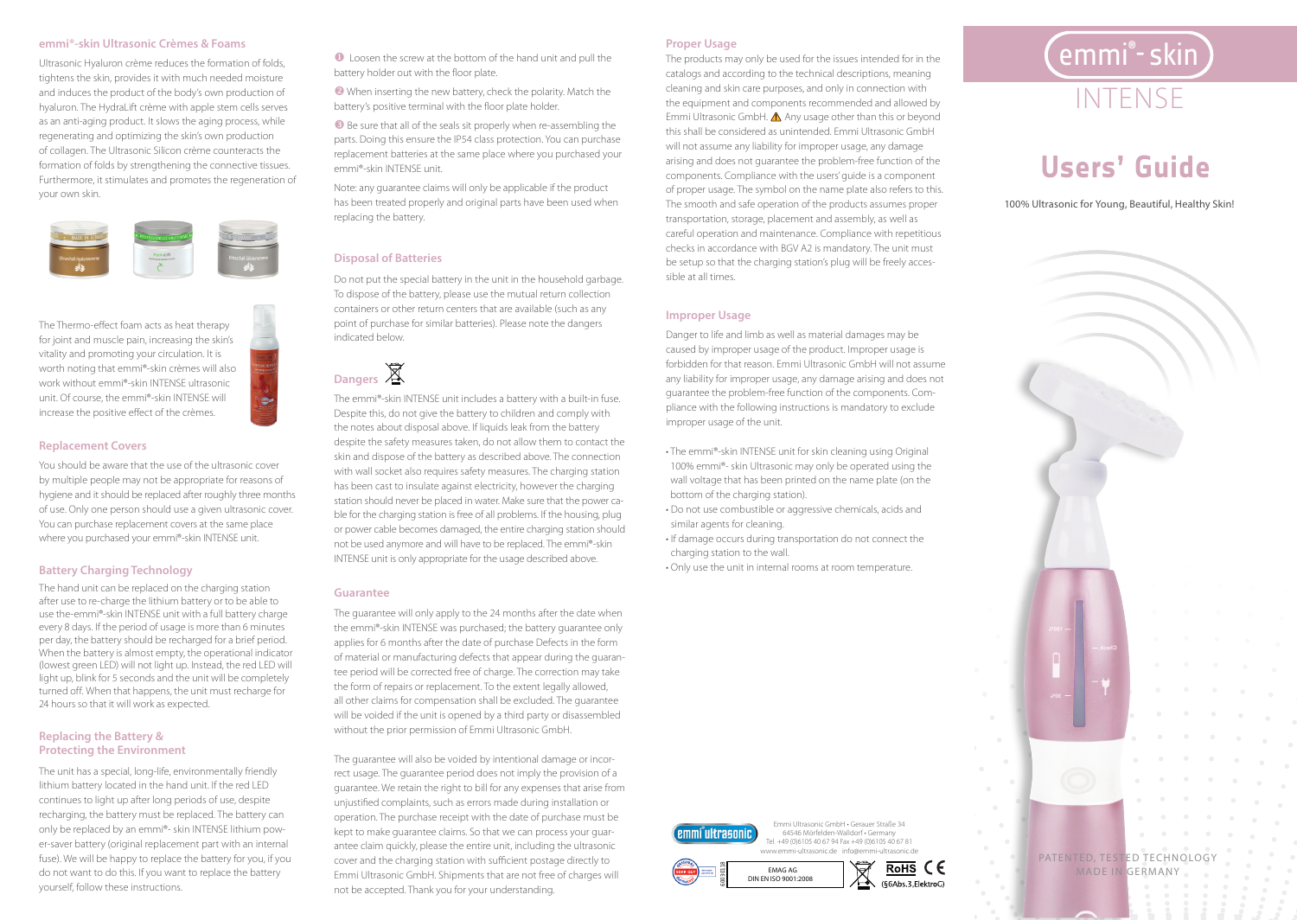#### **emmi®-skin Ultrasonic Crèmes & Foams**

Ultrasonic Hyaluron crème reduces the formation of folds, tightens the skin, provides it with much needed moisture and induces the product of the body's own production of hyaluron. The HydraLift crème with apple stem cells serves as an anti-aging product. It slows the aging process, while regenerating and optimizing the skin's own production of collagen. The Ultrasonic Silicon crème counteracts the formation of folds by strengthening the connective tissues. Furthermore, it stimulates and promotes the regeneration of your own skin.



The Thermo-effect foam acts as heat therapy for joint and muscle pain, increasing the skin's vitality and promoting your circulation. It is worth noting that emmi®-skin crèmes will also work without emmi®-skin INTENSE ultrasonic unit. Of course, the emmi®-skin INTENSE will increase the positive effect of the crèmes. *www.emmi- d ent.de*

#### **Replacement Covers**

You should be aware that the use of the ultrasonic cover by multiple people may not be appropriate for reasons of hygiene and it should be replaced after roughly three months of use. Only one person should use a given ultrasonic cover. You can purchase replacement covers at the same place where you purchased your emmi®-skin INTENSE unit.

#### **Battery Charging Technology**

The hand unit can be replaced on the charging station after use to re-charge the lithium battery or to be able to use the-emmi®-skin INTENSE unit with a full battery charge every 8 days. If the period of usage is more than 6 minutes per day, the battery should be recharged for a brief period. When the battery is almost empty, the operational indicator (lowest green LED) will not light up. Instead, the red LED will light up, blink for 5 seconds and the unit will be completely turned off. When that happens, the unit must recharge for 24 hours so that it will work as expected.

#### **Replacing the Battery & Protecting the Environment**

The unit has a special, long-life, environmentally friendly lithium battery located in the hand unit. If the red LED continues to light up after long periods of use, despite recharging, the battery must be replaced. The battery can only be replaced by an emmi®- skin INTENSE lithium power-saver battery (original replacement part with an internal fuse). We will be happy to replace the battery for you, if you do not want to do this. If you want to replace the battery yourself, follow these instructions.

 $\bullet$  Loosen the screw at the bottom of the hand unit and pull the battery holder out with the floor plate.

**2** When inserting the new battery, check the polarity. Match the battery's positive terminal with the floor plate holder.

 $\blacksquare$  Be sure that all of the seals sit properly when re-assembling the parts. Doing this ensure the IP54 class protection. You can purchase replacement batteries at the same place where you purchased your emmi®-skin INTENSE unit.

> Note: any guarantee claims will only be applicable if the product has been treated properly and original parts have been used when replacing the battery.

#### **Disposal of Batteries**

Do not put the special battery in the unit in the household garbage. To dispose of the battery, please use the mutual return collection containers or other return centers that are available (such as any copyright EMAG AG. All rights reserved. Manufactured in FRG in FRG and the contents of the contents of the contents of the contents of the contents of the contents of the contents of the contents of the contents of the con s indicated below.  $\overline{1}$ 

## **Dangers**

The emmi®-skin INTENSE unit includes a battery with a built-in fuse. **9** Despite this, do not give the battery to children and comply with the notes about disposal above. If liquids leak from the battery despite the safety measures taken, do not allow them to contact the skin and dispose of the battery as described above. The connection with wall socket also requires safety measures. The charging station has been cast to insulate against electricity, however the charging station should never be placed in water. Make sure that the power cable for the charging station is free of all problems. If the housing, plug or power cable becomes damaged, the entire charging station should not be used anymore and will have to be replaced. The emmi®-skin INTENSE unit is only appropriate for the usage described above.

#### **Guarantee**

The guarantee will only apply to the 24 months after the date when the emmi®-skin INTENSE was purchased; the battery guarantee only applies for 6 months after the date of purchase Defects in the form of material or manufacturing defects that appear during the guarantee period will be corrected free of charge. The correction may take the form of repairs or replacement. To the extent legally allowed, all other claims for compensation shall be excluded. The guarantee will be voided if the unit is opened by a third party or disassembled without the prior permission of Emmi Ultrasonic GmbH.

The guarantee will also be voided by intentional damage or incorrect usage. The guarantee period does not imply the provision of a guarantee. We retain the right to bill for any expenses that arise from unjustified complaints, such as errors made during installation or operation. The purchase receipt with the date of purchase must be kept to make guarantee claims. So that we can process your guarantee claim quickly, please the entire unit, including the ultrasonic cover and the charging station with sufficient postage directly to Emmi Ultrasonic GmbH. Shipments that are not free of charges will not be accepted. Thank you for your understanding.

#### **Proper Usage**

The products may only be used for the issues intended for in the catalogs and according to the technical descriptions, meaning cleaning and skin care purposes, and only in connection with the equipment and components recommended and allowed by Emmi Ultrasonic GmbH.  $\triangle$  Any usage other than this or beyond this shall be considered as unintended. Emmi Ultrasonic GmbH will not assume any liability for improper usage, any damage arising and does not guarantee the problem-free function of the components. Compliance with the users' guide is a component of proper usage. The symbol on the name plate also refers to this. The smooth and safe operation of the products assumes proper transportation, storage, placement and assembly, as well as careful operation and maintenance. Compliance with repetitious checks in accordance with BGV A2 is mandatory. The unit must be setup so that the charging station's plug will be freely accessible at all times.

#### **Improper Usage**

Danger to life and limb as well as material damages may be caused by improper usage of the product. Improper usage is forbidden for that reason. Emmi Ultrasonic GmbH will not assume any liability for improper usage, any damage arising and does not guarantee the problem-free function of the components. Compliance with the following instructions is mandatory to exclude improper usage of the unit.

- The emmi®-skin INTENSE unit for skin cleaning using Original 100% emmi®- skin Ultrasonic may only be operated using the wall voltage that has been printed on the name plate (on the bottom of the charging station).
- Do not use combustible or aggressive chemicals, acids and *www. emmi- dent.d e* similar agents for cleaning.
- If damage occurs during transportation do not connect the charging station to the wall.
- Only use the unit in internal rooms at room temperature.



*www.emmi- d ent.de*



64546 Mörfelden-Walldorf • Germany Tel. +49 (0)6105 40 67 94 Fax +49 (0)6105 40 67 81

> PATENTED, TESTED TECHNOLOGY MADE IN GERMANY

# INTENSE  $\left[$ emmi $\degree$ - skin  $\right)$



100% Ultrasonic for Young, Beautiful, Healthy Skin!